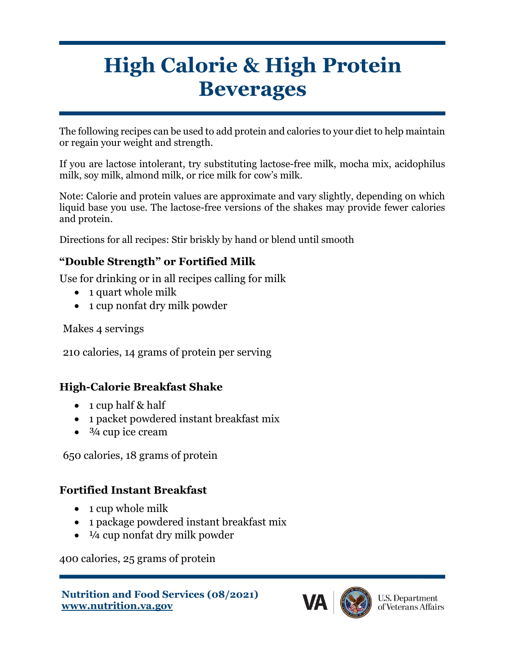# **High Calorie & High Protein Beverages**

The following recipes can be used to add protein and calories to your diet to help maintain or regain your weight and strength.

If you are lactose intolerant, try substituting lactose-free milk, mocha mix, acidophilus milk, soy milk, almond milk, or rice milk for cow's milk.

Note: Calorie and protein values are approximate and vary slightly, depending on which liquid base you use. The lactose-free versions of the shakes may provide fewer calories and protein.

Directions for all recipes: Stir briskly by hand or blend until smooth

#### **"Double Strength" or Fortified Milk**

Use for drinking or in all recipes calling for milk

- 1 quart whole milk
- 1 cup nonfat dry milk powder

Makes 4 servings

210 calories, 14 grams of protein per serving

#### **High-Calorie Breakfast Shake**

- 1 cup half & half
- 1 packet powdered instant breakfast mix
- $\bullet$   $\frac{3}{4}$  cup ice cream

650 calories, 18 grams of protein

#### **Fortified Instant Breakfast**

- 1 cup whole milk
- 1 package powdered instant breakfast mix
- $\bullet$   $\frac{1}{4}$  cup nonfat dry milk powder

400 calories, 25 grams of protein

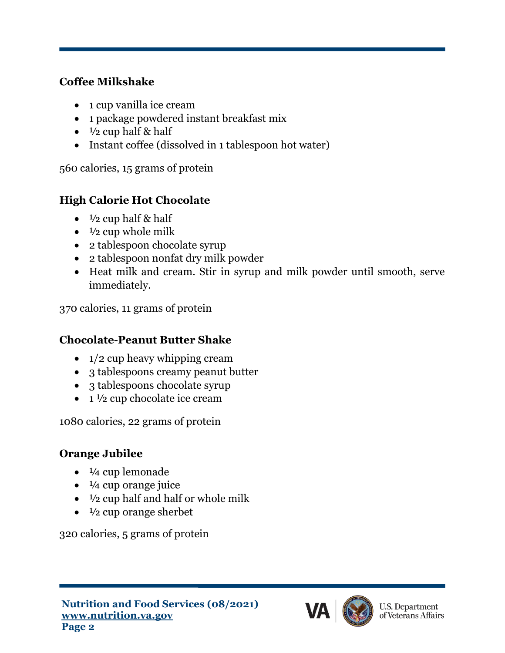#### **Coffee Milkshake**

- 1 cup vanilla ice cream
- 1 package powdered instant breakfast mix
- $\bullet$   $\frac{1}{2}$  cup half & half
- Instant coffee (dissolved in 1 tablespoon hot water)

560 calories, 15 grams of protein

# **High Calorie Hot Chocolate**

- $\frac{1}{2}$  cup half & half
- $\bullet$   $\frac{1}{2}$  cup whole milk
- 2 tablespoon chocolate syrup
- 2 tablespoon nonfat dry milk powder
- Heat milk and cream. Stir in syrup and milk powder until smooth, serve immediately.

370 calories, 11 grams of protein

## **Chocolate-Peanut Butter Shake**

- $1/2$  cup heavy whipping cream
- 3 tablespoons creamy peanut butter
- 3 tablespoons chocolate syrup
- $\bullet$  1  $\frac{1}{2}$  cup chocolate ice cream

1080 calories, 22 grams of protein

## **Orange Jubilee**

- $\bullet$   $\frac{1}{4}$  cup lemonade
- $\bullet$   $\frac{1}{4}$  cup orange juice
- $\bullet$   $\frac{1}{2}$  cup half and half or whole milk
- $\bullet$   $\frac{1}{2}$  cup orange sherbet

320 calories, 5 grams of protein

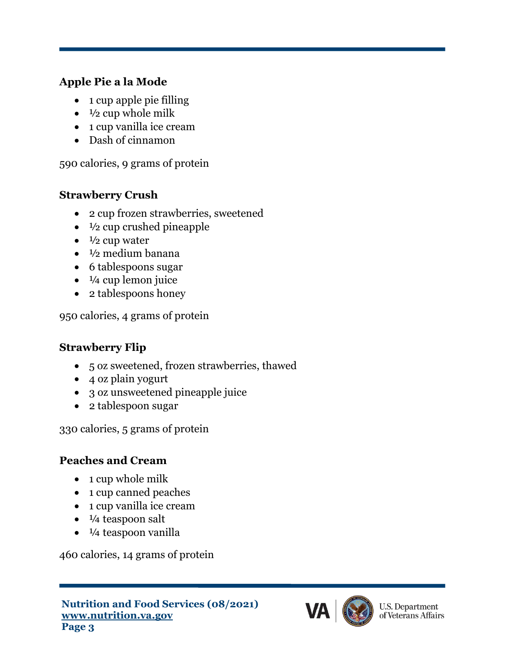#### **Apple Pie a la Mode**

- 1 cup apple pie filling
- $\bullet$   $\frac{1}{2}$  cup whole milk
- 1 cup vanilla ice cream
- Dash of cinnamon

590 calories, 9 grams of protein

#### **Strawberry Crush**

- 2 cup frozen strawberries, sweetened
- $\bullet$   $\frac{1}{2}$  cup crushed pineapple
- $\bullet$   $\frac{1}{2}$  cup water
- $\bullet$   $\frac{1}{2}$  medium banana
- 6 tablespoons sugar
- $\bullet$   $\frac{1}{4}$  cup lemon juice
- 2 tablespoons honey

950 calories, 4 grams of protein

#### **Strawberry Flip**

- 5 oz sweetened, frozen strawberries, thawed
- 4 oz plain yogurt
- 3 oz unsweetened pineapple juice
- 2 tablespoon sugar

330 calories, 5 grams of protein

#### **Peaches and Cream**

- 1 cup whole milk
- 1 cup canned peaches
- 1 cup vanilla ice cream
- $\bullet$   $\frac{1}{4}$  teaspoon salt
- $\bullet$   $\frac{1}{4}$  teaspoon vanilla

460 calories, 14 grams of protein

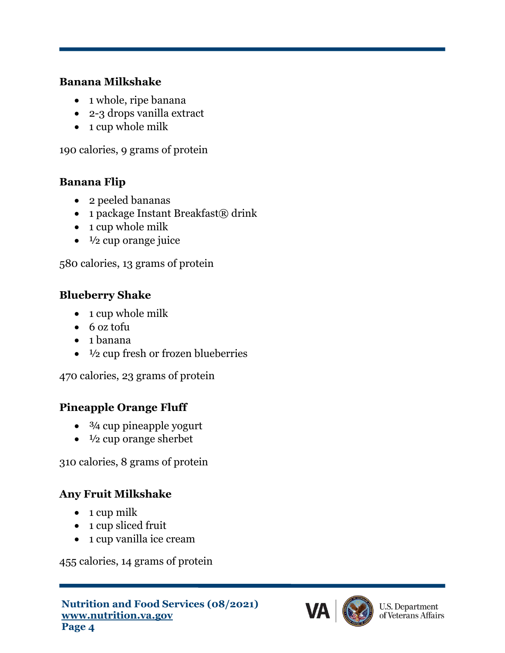#### **Banana Milkshake**

- 1 whole, ripe banana
- 2-3 drops vanilla extract
- 1 cup whole milk

190 calories, 9 grams of protein

#### **Banana Flip**

- 2 peeled bananas
- 1 package Instant Breakfast $\circledR$  drink
- 1 cup whole milk
- $\bullet$   $\frac{1}{2}$  cup orange juice

580 calories, 13 grams of protein

## **Blueberry Shake**

- 1 cup whole milk
- 6 oz tofu
- 1 banana
- $\bullet$   $\frac{1}{2}$  cup fresh or frozen blueberries

470 calories, 23 grams of protein

## **Pineapple Orange Fluff**

- $\bullet$   $\frac{3}{4}$  cup pineapple yogurt
- $\bullet$   $\frac{1}{2}$  cup orange sherbet

310 calories, 8 grams of protein

## **Any Fruit Milkshake**

- $\bullet$  1 cup milk
- 1 cup sliced fruit
- 1 cup vanilla ice cream

455 calories, 14 grams of protein

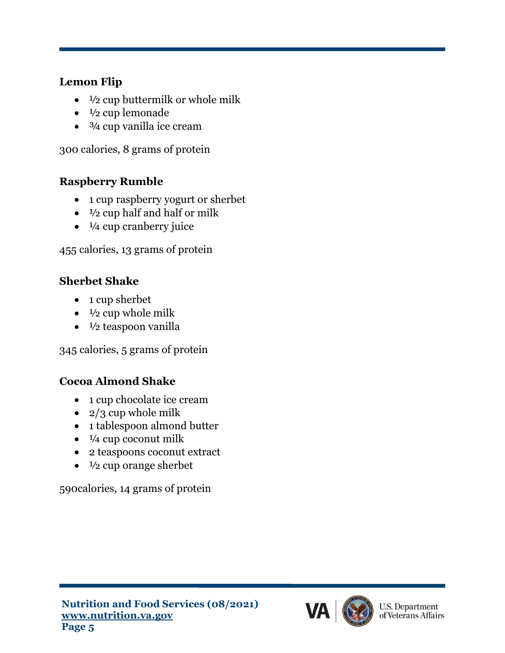#### **Lemon Flip**

- $\frac{1}{2}$  cup buttermilk or whole milk
- $\bullet\quad 1/2$  cup lemonade
- $\bullet$   $\frac{3}{4}$  cup vanilla ice cream

300 calories, 8 grams of protein

#### **Raspberry Rumble**

- 1 cup raspberry yogurt or sherbet
- $\bullet$   $\frac{1}{2}$  cup half and half or milk
- $\bullet$   $\frac{1}{4}$  cup cranberry juice

455 calories, 13 grams of protein

#### **Sherbet Shake**

- 1 cup sherbet
- $\bullet$   $\frac{1}{2}$  cup whole milk
- $\bullet$   $\frac{1}{2}$  teaspoon vanilla

345 calories, 5 grams of protein

#### **Cocoa Almond Shake**

- 1 cup chocolate ice cream
- $2/3$  cup whole milk
- 1 tablespoon almond butter
- $\bullet$   $\frac{1}{4}$  cup coconut milk
- 2 teaspoons coconut extract
- $\bullet$   $\frac{1}{2}$  cup orange sherbet

590calories, 14 grams of protein